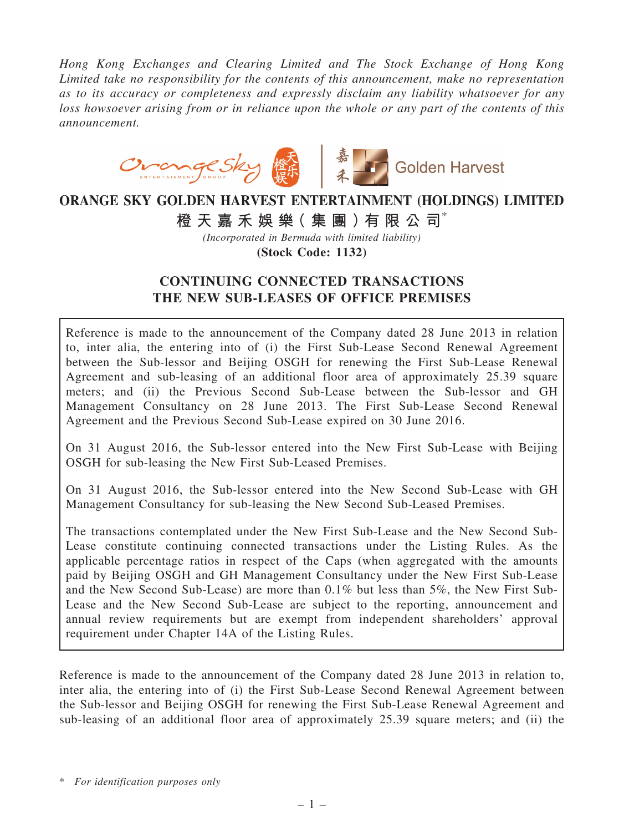*Hong Kong Exchanges and Clearing Limited and The Stock Exchange of Hong Kong Limited take no responsibility for the contents of this announcement, make no representation as to its accuracy or completeness and expressly disclaim any liability whatsoever for any loss howsoever arising from or in reliance upon the whole or any part of the contents of this announcement.*



# ORANGE SKY GOLDEN HARVEST ENTERTAINMENT (HOLDINGS) LIMITED 橙 天 嘉 禾 娛 樂 (集 團 ) 有 限 公 司 $^*$

*(Incorporated in Bermuda with limited liability)*

(Stock Code: 1132)

## CONTINUING CONNECTED TRANSACTIONS THE NEW SUB-LEASES OF OFFICE PREMISES

Reference is made to the announcement of the Company dated 28 June 2013 in relation to, inter alia, the entering into of (i) the First Sub-Lease Second Renewal Agreement between the Sub-lessor and Beijing OSGH for renewing the First Sub-Lease Renewal Agreement and sub-leasing of an additional floor area of approximately 25.39 square meters; and (ii) the Previous Second Sub-Lease between the Sub-lessor and GH Management Consultancy on 28 June 2013. The First Sub-Lease Second Renewal Agreement and the Previous Second Sub-Lease expired on 30 June 2016.

On 31 August 2016, the Sub-lessor entered into the New First Sub-Lease with Beijing OSGH for sub-leasing the New First Sub-Leased Premises.

On 31 August 2016, the Sub-lessor entered into the New Second Sub-Lease with GH Management Consultancy for sub-leasing the New Second Sub-Leased Premises.

The transactions contemplated under the New First Sub-Lease and the New Second Sub-Lease constitute continuing connected transactions under the Listing Rules. As the applicable percentage ratios in respect of the Caps (when aggregated with the amounts paid by Beijing OSGH and GH Management Consultancy under the New First Sub-Lease and the New Second Sub-Lease) are more than 0.1% but less than 5%, the New First Sub-Lease and the New Second Sub-Lease are subject to the reporting, announcement and annual review requirements but are exempt from independent shareholders' approval requirement under Chapter 14A of the Listing Rules.

Reference is made to the announcement of the Company dated 28 June 2013 in relation to, inter alia, the entering into of (i) the First Sub-Lease Second Renewal Agreement between the Sub-lessor and Beijing OSGH for renewing the First Sub-Lease Renewal Agreement and sub-leasing of an additional floor area of approximately 25.39 square meters; and (ii) the

\* *For identification purposes only*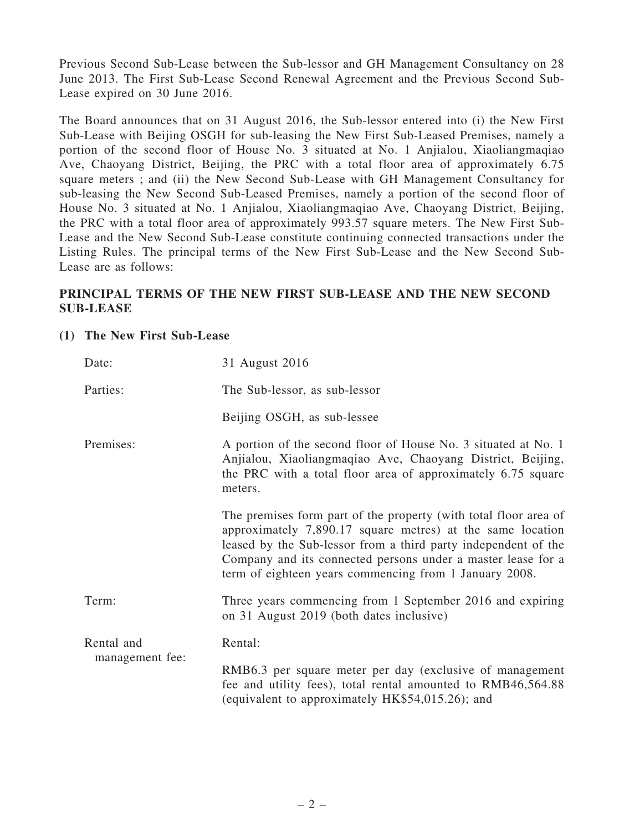Previous Second Sub-Lease between the Sub-lessor and GH Management Consultancy on 28 June 2013. The First Sub-Lease Second Renewal Agreement and the Previous Second Sub-Lease expired on 30 June 2016.

The Board announces that on 31 August 2016, the Sub-lessor entered into (i) the New First Sub-Lease with Beijing OSGH for sub-leasing the New First Sub-Leased Premises, namely a portion of the second floor of House No. 3 situated at No. 1 Anjialou, Xiaoliangmaqiao Ave, Chaoyang District, Beijing, the PRC with a total floor area of approximately 6.75 square meters ; and (ii) the New Second Sub-Lease with GH Management Consultancy for sub-leasing the New Second Sub-Leased Premises, namely a portion of the second floor of House No. 3 situated at No. 1 Anjialou, Xiaoliangmaqiao Ave, Chaoyang District, Beijing, the PRC with a total floor area of approximately 993.57 square meters. The New First Sub-Lease and the New Second Sub-Lease constitute continuing connected transactions under the Listing Rules. The principal terms of the New First Sub-Lease and the New Second Sub-Lease are as follows:

## PRINCIPAL TERMS OF THE NEW FIRST SUB-LEASE AND THE NEW SECOND SUB-LEASE

### (1) The New First Sub-Lease

| Date:           | 31 August 2016                                                                                                                                                                                                                                                                                                             |
|-----------------|----------------------------------------------------------------------------------------------------------------------------------------------------------------------------------------------------------------------------------------------------------------------------------------------------------------------------|
| Parties:        | The Sub-lessor, as sub-lessor                                                                                                                                                                                                                                                                                              |
|                 | Beijing OSGH, as sub-lessee                                                                                                                                                                                                                                                                                                |
| Premises:       | A portion of the second floor of House No. 3 situated at No. 1<br>Anjialou, Xiaoliangmaqiao Ave, Chaoyang District, Beijing,<br>the PRC with a total floor area of approximately 6.75 square<br>meters.                                                                                                                    |
|                 | The premises form part of the property (with total floor area of<br>approximately 7,890.17 square metres) at the same location<br>leased by the Sub-lessor from a third party independent of the<br>Company and its connected persons under a master lease for a<br>term of eighteen years commencing from 1 January 2008. |
| Term:           | Three years commencing from 1 September 2016 and expiring<br>on 31 August 2019 (both dates inclusive)                                                                                                                                                                                                                      |
| Rental and      | Rental:                                                                                                                                                                                                                                                                                                                    |
| management fee: | RMB6.3 per square meter per day (exclusive of management<br>fee and utility fees), total rental amounted to RMB46,564.88<br>(equivalent to approximately HK\$54,015.26); and                                                                                                                                               |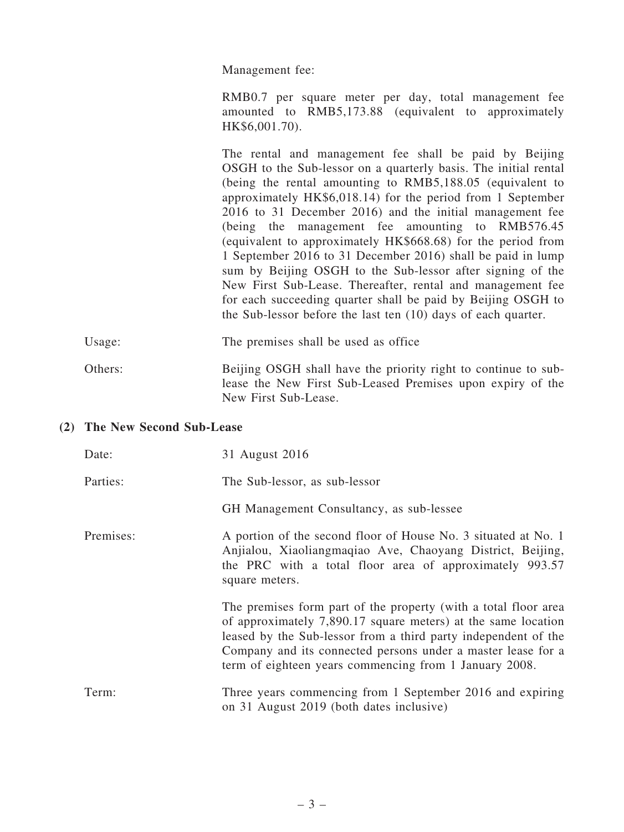Management fee:

RMB0.7 per square meter per day, total management fee amounted to RMB5,173.88 (equivalent to approximately HK\$6,001.70).

The rental and management fee shall be paid by Beijing OSGH to the Sub-lessor on a quarterly basis. The initial rental (being the rental amounting to RMB5,188.05 (equivalent to approximately HK\$6,018.14) for the period from 1 September 2016 to 31 December 2016) and the initial management fee (being the management fee amounting to RMB576.45 (equivalent to approximately HK\$668.68) for the period from 1 September 2016 to 31 December 2016) shall be paid in lump sum by Beijing OSGH to the Sub-lessor after signing of the New First Sub-Lease. Thereafter, rental and management fee for each succeeding quarter shall be paid by Beijing OSGH to the Sub-lessor before the last ten (10) days of each quarter.

Usage: The premises shall be used as office

Others: Beijing OSGH shall have the priority right to continue to sublease the New First Sub-Leased Premises upon expiry of the New First Sub-Lease.

### (2) The New Second Sub-Lease

| Date:     | 31 August 2016                                                                                                                                                                                                                                                                                                               |
|-----------|------------------------------------------------------------------------------------------------------------------------------------------------------------------------------------------------------------------------------------------------------------------------------------------------------------------------------|
| Parties:  | The Sub-lessor, as sub-lessor                                                                                                                                                                                                                                                                                                |
|           | GH Management Consultancy, as sub-lessee                                                                                                                                                                                                                                                                                     |
| Premises: | A portion of the second floor of House No. 3 situated at No. 1<br>Anjialou, Xiaoliangmaqiao Ave, Chaoyang District, Beijing,<br>the PRC with a total floor area of approximately 993.57<br>square meters.                                                                                                                    |
|           | The premises form part of the property (with a total floor area<br>of approximately 7,890.17 square meters) at the same location<br>leased by the Sub-lessor from a third party independent of the<br>Company and its connected persons under a master lease for a<br>term of eighteen years commencing from 1 January 2008. |
| Term:     | Three years commencing from 1 September 2016 and expiring<br>on 31 August 2019 (both dates inclusive)                                                                                                                                                                                                                        |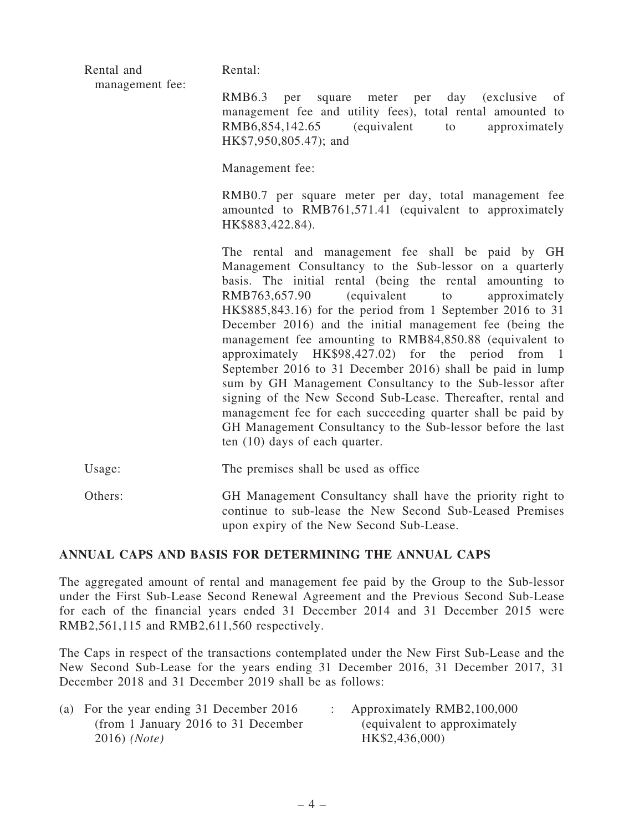|  | Rental and<br>management fee: | Rental:                                                                                                                                                                                                                                                                                                                                                                                                                                                                                                                                                                                                                                                                                                                                                                                                                              |
|--|-------------------------------|--------------------------------------------------------------------------------------------------------------------------------------------------------------------------------------------------------------------------------------------------------------------------------------------------------------------------------------------------------------------------------------------------------------------------------------------------------------------------------------------------------------------------------------------------------------------------------------------------------------------------------------------------------------------------------------------------------------------------------------------------------------------------------------------------------------------------------------|
|  |                               | <b>RMB6.3</b><br>day<br><i>(exclusive)</i><br>per<br>square meter per<br>of<br>management fee and utility fees), total rental amounted to<br>$RMB6,854,142.65$ (equivalent<br>approximately<br>to<br>HK\$7,950,805.47); and                                                                                                                                                                                                                                                                                                                                                                                                                                                                                                                                                                                                          |
|  |                               | Management fee:                                                                                                                                                                                                                                                                                                                                                                                                                                                                                                                                                                                                                                                                                                                                                                                                                      |
|  |                               | RMB0.7 per square meter per day, total management fee<br>amounted to RMB761,571.41 (equivalent to approximately<br>HK\$883,422.84).                                                                                                                                                                                                                                                                                                                                                                                                                                                                                                                                                                                                                                                                                                  |
|  |                               | The rental and management fee shall be paid by GH<br>Management Consultancy to the Sub-lessor on a quarterly<br>basis. The initial rental (being the rental amounting to<br>(equivalent<br>RMB763,657.90<br>approximately<br>to<br>HK\$885,843.16) for the period from 1 September 2016 to 31<br>December 2016) and the initial management fee (being the<br>management fee amounting to RMB84,850.88 (equivalent to<br>approximately HK\$98,427.02) for the period from 1<br>September 2016 to 31 December 2016) shall be paid in lump<br>sum by GH Management Consultancy to the Sub-lessor after<br>signing of the New Second Sub-Lease. Thereafter, rental and<br>management fee for each succeeding quarter shall be paid by<br>GH Management Consultancy to the Sub-lessor before the last<br>ten $(10)$ days of each quarter. |
|  | Usage:                        | The premises shall be used as office                                                                                                                                                                                                                                                                                                                                                                                                                                                                                                                                                                                                                                                                                                                                                                                                 |
|  | Others:                       | GH Management Consultancy shall have the priority right to<br>continue to sub-lease the New Second Sub-Leased Premises                                                                                                                                                                                                                                                                                                                                                                                                                                                                                                                                                                                                                                                                                                               |

### ANNUAL CAPS AND BASIS FOR DETERMINING THE ANNUAL CAPS

The aggregated amount of rental and management fee paid by the Group to the Sub-lessor under the First Sub-Lease Second Renewal Agreement and the Previous Second Sub-Lease for each of the financial years ended 31 December 2014 and 31 December 2015 were RMB2,561,115 and RMB2,611,560 respectively.

upon expiry of the New Second Sub-Lease.

The Caps in respect of the transactions contemplated under the New First Sub-Lease and the New Second Sub-Lease for the years ending 31 December 2016, 31 December 2017, 31 December 2018 and 31 December 2019 shall be as follows:

| (a) For the year ending 31 December 2016 | Approximately RMB2,100,000    |
|------------------------------------------|-------------------------------|
| (from 1 January 2016 to 31 December      | (equivalent to approximately) |
| 2016) (Note)                             | HK\$2,436,000)                |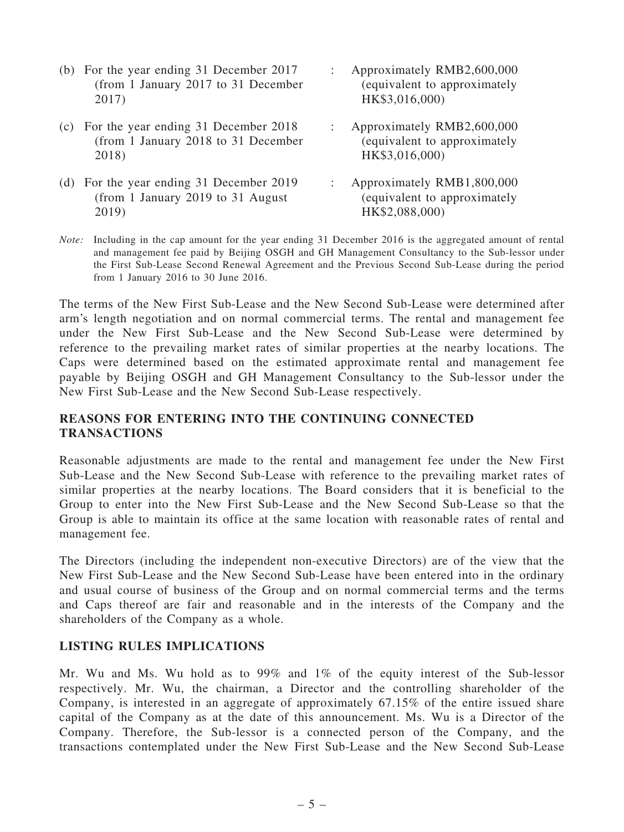- (b) For the year ending 31 December 2017 (from 1 January 2017 to 31 December 2017)
- (c) For the year ending 31 December 2018 (from 1 January 2018 to 31 December 2018)
- (d) For the year ending 31 December 2019 (from 1 January 2019 to 31 August 2019)
- : Approximately RMB2,600,000 (equivalent to approximately HK\$3,016,000)
- : Approximately RMB2,600,000 (equivalent to approximately HK\$3,016,000)
- : Approximately RMB1,800,000 (equivalent to approximately HK\$2,088,000)
- *Note:* Including in the cap amount for the year ending 31 December 2016 is the aggregated amount of rental and management fee paid by Beijing OSGH and GH Management Consultancy to the Sub-lessor under the First Sub-Lease Second Renewal Agreement and the Previous Second Sub-Lease during the period from 1 January 2016 to 30 June 2016.

The terms of the New First Sub-Lease and the New Second Sub-Lease were determined after arm's length negotiation and on normal commercial terms. The rental and management fee under the New First Sub-Lease and the New Second Sub-Lease were determined by reference to the prevailing market rates of similar properties at the nearby locations. The Caps were determined based on the estimated approximate rental and management fee payable by Beijing OSGH and GH Management Consultancy to the Sub-lessor under the New First Sub-Lease and the New Second Sub-Lease respectively.

## REASONS FOR ENTERING INTO THE CONTINUING CONNECTED **TRANSACTIONS**

Reasonable adjustments are made to the rental and management fee under the New First Sub-Lease and the New Second Sub-Lease with reference to the prevailing market rates of similar properties at the nearby locations. The Board considers that it is beneficial to the Group to enter into the New First Sub-Lease and the New Second Sub-Lease so that the Group is able to maintain its office at the same location with reasonable rates of rental and management fee.

The Directors (including the independent non-executive Directors) are of the view that the New First Sub-Lease and the New Second Sub-Lease have been entered into in the ordinary and usual course of business of the Group and on normal commercial terms and the terms and Caps thereof are fair and reasonable and in the interests of the Company and the shareholders of the Company as a whole.

### LISTING RULES IMPLICATIONS

Mr. Wu and Ms. Wu hold as to 99% and 1% of the equity interest of the Sub-lessor respectively. Mr. Wu, the chairman, a Director and the controlling shareholder of the Company, is interested in an aggregate of approximately 67.15% of the entire issued share capital of the Company as at the date of this announcement. Ms. Wu is a Director of the Company. Therefore, the Sub-lessor is a connected person of the Company, and the transactions contemplated under the New First Sub-Lease and the New Second Sub-Lease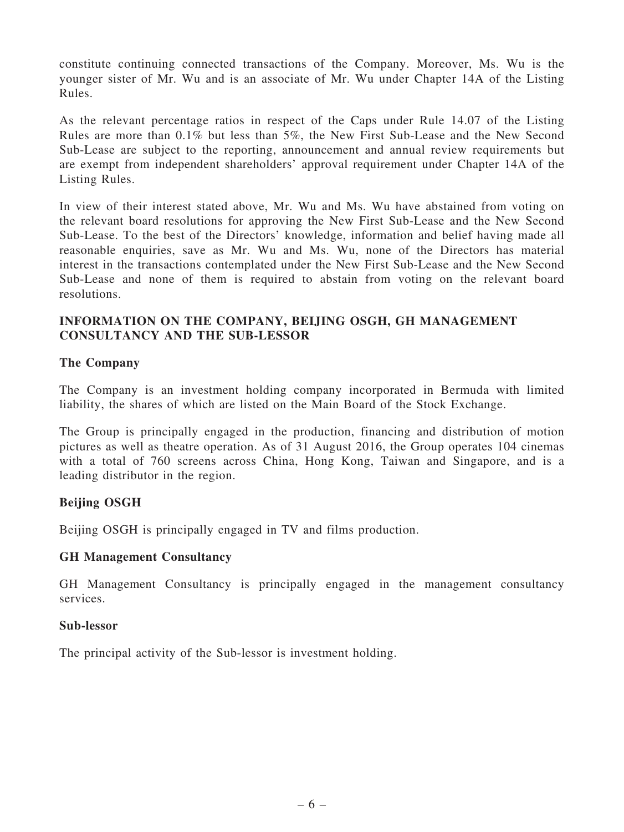constitute continuing connected transactions of the Company. Moreover, Ms. Wu is the younger sister of Mr. Wu and is an associate of Mr. Wu under Chapter 14A of the Listing Rules.

As the relevant percentage ratios in respect of the Caps under Rule 14.07 of the Listing Rules are more than 0.1% but less than 5%, the New First Sub-Lease and the New Second Sub-Lease are subject to the reporting, announcement and annual review requirements but are exempt from independent shareholders' approval requirement under Chapter 14A of the Listing Rules.

In view of their interest stated above, Mr. Wu and Ms. Wu have abstained from voting on the relevant board resolutions for approving the New First Sub-Lease and the New Second Sub-Lease. To the best of the Directors' knowledge, information and belief having made all reasonable enquiries, save as Mr. Wu and Ms. Wu, none of the Directors has material interest in the transactions contemplated under the New First Sub-Lease and the New Second Sub-Lease and none of them is required to abstain from voting on the relevant board resolutions.

## INFORMATION ON THE COMPANY, BEIJING OSGH, GH MANAGEMENT CONSULTANCY AND THE SUB-LESSOR

## The Company

The Company is an investment holding company incorporated in Bermuda with limited liability, the shares of which are listed on the Main Board of the Stock Exchange.

The Group is principally engaged in the production, financing and distribution of motion pictures as well as theatre operation. As of 31 August 2016, the Group operates 104 cinemas with a total of 760 screens across China, Hong Kong, Taiwan and Singapore, and is a leading distributor in the region.

### Beijing OSGH

Beijing OSGH is principally engaged in TV and films production.

### GH Management Consultancy

GH Management Consultancy is principally engaged in the management consultancy services.

#### Sub-lessor

The principal activity of the Sub-lessor is investment holding.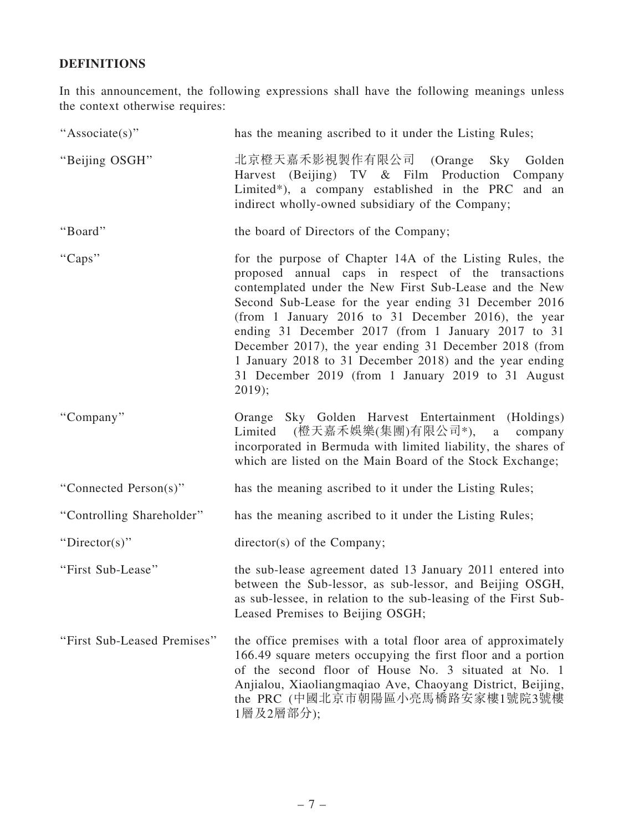## DEFINITIONS

In this announcement, the following expressions shall have the following meanings unless the context otherwise requires:

| "Associate(s)"              | has the meaning ascribed to it under the Listing Rules;                                                                                                                                                                                                                                                                                                                                                                                                                                                                                |
|-----------------------------|----------------------------------------------------------------------------------------------------------------------------------------------------------------------------------------------------------------------------------------------------------------------------------------------------------------------------------------------------------------------------------------------------------------------------------------------------------------------------------------------------------------------------------------|
| "Beijing OSGH"              | 北京橙天嘉禾影視製作有限公司 (Orange Sky Golden<br>Harvest (Beijing) TV & Film Production Company<br>Limited*), a company established in the PRC and an<br>indirect wholly-owned subsidiary of the Company;                                                                                                                                                                                                                                                                                                                                          |
| "Board"                     | the board of Directors of the Company;                                                                                                                                                                                                                                                                                                                                                                                                                                                                                                 |
| "Caps"                      | for the purpose of Chapter 14A of the Listing Rules, the<br>proposed annual caps in respect of the transactions<br>contemplated under the New First Sub-Lease and the New<br>Second Sub-Lease for the year ending 31 December 2016<br>(from 1 January 2016 to 31 December 2016), the year<br>ending 31 December 2017 (from 1 January 2017 to 31<br>December 2017), the year ending 31 December 2018 (from<br>1 January 2018 to 31 December 2018) and the year ending<br>31 December 2019 (from 1 January 2019 to 31 August<br>$2019$ ; |
| "Company"                   | Orange Sky Golden Harvest Entertainment (Holdings)<br>Limited (橙天嘉禾娛樂(集團)有限公司*), a company<br>incorporated in Bermuda with limited liability, the shares of<br>which are listed on the Main Board of the Stock Exchange;                                                                                                                                                                                                                                                                                                               |
| "Connected Person(s)"       | has the meaning ascribed to it under the Listing Rules;                                                                                                                                                                                                                                                                                                                                                                                                                                                                                |
| "Controlling Shareholder"   | has the meaning ascribed to it under the Listing Rules;                                                                                                                                                                                                                                                                                                                                                                                                                                                                                |
| "Director(s)"               | director(s) of the Company;                                                                                                                                                                                                                                                                                                                                                                                                                                                                                                            |
| "First Sub-Lease"           | the sub-lease agreement dated 13 January 2011 entered into<br>between the Sub-lessor, as sub-lessor, and Beijing OSGH,<br>as sub-lessee, in relation to the sub-leasing of the First Sub-<br>Leased Premises to Beijing OSGH;                                                                                                                                                                                                                                                                                                          |
| "First Sub-Leased Premises" | the office premises with a total floor area of approximately<br>166.49 square meters occupying the first floor and a portion<br>of the second floor of House No. 3 situated at No. 1<br>Anjialou, Xiaoliangmaqiao Ave, Chaoyang District, Beijing,<br>the PRC (中國北京市朝陽區小亮馬橋路安家樓1號院3號樓<br>1層及2層部分);                                                                                                                                                                                                                                     |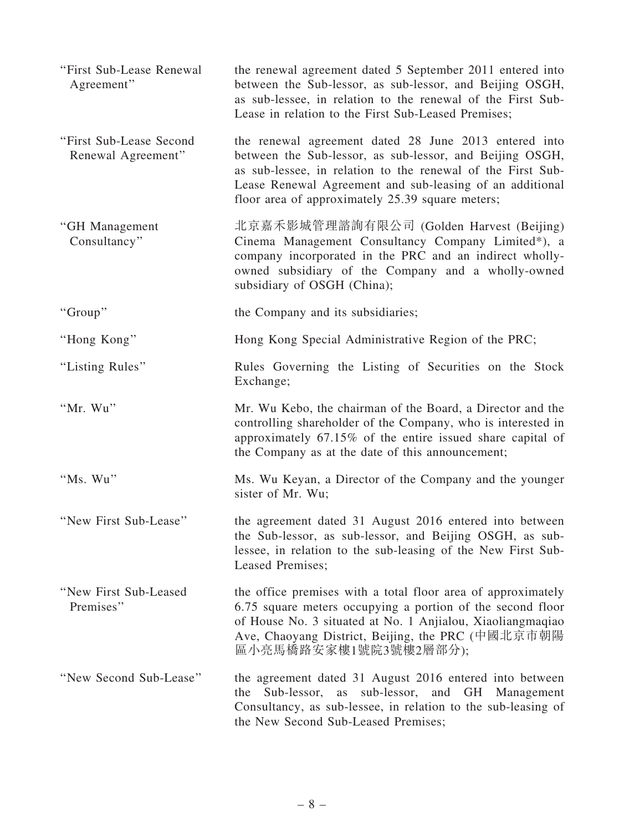| "First Sub-Lease Renewal<br>Agreement"        | the renewal agreement dated 5 September 2011 entered into<br>between the Sub-lessor, as sub-lessor, and Beijing OSGH,<br>as sub-lessee, in relation to the renewal of the First Sub-<br>Lease in relation to the First Sub-Leased Premises;                                                      |
|-----------------------------------------------|--------------------------------------------------------------------------------------------------------------------------------------------------------------------------------------------------------------------------------------------------------------------------------------------------|
| "First Sub-Lease Second<br>Renewal Agreement" | the renewal agreement dated 28 June 2013 entered into<br>between the Sub-lessor, as sub-lessor, and Beijing OSGH,<br>as sub-lessee, in relation to the renewal of the First Sub-<br>Lease Renewal Agreement and sub-leasing of an additional<br>floor area of approximately 25.39 square meters; |
| "GH Management<br>Consultancy"                | 北京嘉禾影城管理諮詢有限公司 (Golden Harvest (Beijing)<br>Cinema Management Consultancy Company Limited*), a<br>company incorporated in the PRC and an indirect wholly-<br>owned subsidiary of the Company and a wholly-owned<br>subsidiary of OSGH (China);                                                   |
| "Group"                                       | the Company and its subsidiaries;                                                                                                                                                                                                                                                                |
| "Hong Kong"                                   | Hong Kong Special Administrative Region of the PRC;                                                                                                                                                                                                                                              |
| "Listing Rules"                               | Rules Governing the Listing of Securities on the Stock<br>Exchange;                                                                                                                                                                                                                              |
| "Mr. Wu"                                      | Mr. Wu Kebo, the chairman of the Board, a Director and the<br>controlling shareholder of the Company, who is interested in<br>approximately 67.15% of the entire issued share capital of<br>the Company as at the date of this announcement;                                                     |
| "Ms. Wu"                                      | Ms. Wu Keyan, a Director of the Company and the younger<br>sister of Mr. Wu;                                                                                                                                                                                                                     |
| "New First Sub-Lease"                         | the agreement dated 31 August 2016 entered into between<br>the Sub-lessor, as sub-lessor, and Beijing OSGH, as sub-<br>lessee, in relation to the sub-leasing of the New First Sub-<br>Leased Premises;                                                                                          |
| "New First Sub-Leased<br>Premises"            | the office premises with a total floor area of approximately<br>6.75 square meters occupying a portion of the second floor<br>of House No. 3 situated at No. 1 Anjialou, Xiaoliangmaqiao<br>Ave, Chaoyang District, Beijing, the PRC (中國北京市朝陽<br>區小亮馬橋路安家樓1號院3號樓2層部分);                           |
| "New Second Sub-Lease"                        | the agreement dated 31 August 2016 entered into between<br>sub-lessor, and GH<br>the<br>Sub-lessor, as<br>Management<br>Consultancy, as sub-lessee, in relation to the sub-leasing of<br>the New Second Sub-Leased Premises;                                                                     |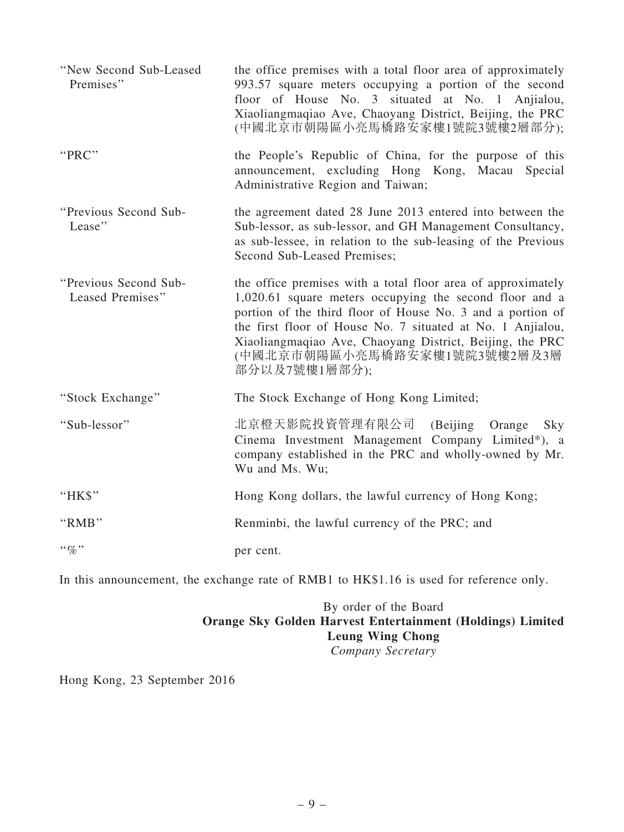| "New Second Sub-Leased<br>Premises"       | the office premises with a total floor area of approximately<br>993.57 square meters occupying a portion of the second<br>floor of House No. 3 situated at No. 1 Anjialou,<br>Xiaoliangmaqiao Ave, Chaoyang District, Beijing, the PRC<br>(中國北京市朝陽區小亮馬橋路安家樓1號院3號樓2層部分);                                                                                          |
|-------------------------------------------|------------------------------------------------------------------------------------------------------------------------------------------------------------------------------------------------------------------------------------------------------------------------------------------------------------------------------------------------------------------|
| "PRC"                                     | the People's Republic of China, for the purpose of this<br>announcement, excluding Hong Kong, Macau Special<br>Administrative Region and Taiwan;                                                                                                                                                                                                                 |
| "Previous Second Sub-<br>Lease"           | the agreement dated 28 June 2013 entered into between the<br>Sub-lessor, as sub-lessor, and GH Management Consultancy,<br>as sub-lessee, in relation to the sub-leasing of the Previous<br>Second Sub-Leased Premises;                                                                                                                                           |
| "Previous Second Sub-<br>Leased Premises" | the office premises with a total floor area of approximately<br>1,020.61 square meters occupying the second floor and a<br>portion of the third floor of House No. 3 and a portion of<br>the first floor of House No. 7 situated at No. 1 Anjialou,<br>Xiaoliangmaqiao Ave, Chaoyang District, Beijing, the PRC<br>(中國北京市朝陽區小亮馬橋路安家樓1號院3號樓2層及3層<br>部分以及7號樓1層部分); |
| "Stock Exchange"                          | The Stock Exchange of Hong Kong Limited;                                                                                                                                                                                                                                                                                                                         |
| "Sub-lessor"                              | 北京橙天影院投資管理有限公司<br>(Beijing)<br>Orange<br>Sky<br>Cinema Investment Management Company Limited*), a<br>company established in the PRC and wholly-owned by Mr.<br>Wu and Ms. Wu;                                                                                                                                                                                    |
| "HK\$"                                    | Hong Kong dollars, the lawful currency of Hong Kong;                                                                                                                                                                                                                                                                                                             |
| "RMB"                                     | Renminbi, the lawful currency of the PRC; and                                                                                                                                                                                                                                                                                                                    |
| $\cdot \cdot \mathcal{A}$                 | per cent.                                                                                                                                                                                                                                                                                                                                                        |

In this announcement, the exchange rate of RMB1 to HK\$1.16 is used for reference only.

## By order of the Board Orange Sky Golden Harvest Entertainment (Holdings) Limited Leung Wing Chong *Company Secretary*

Hong Kong, 23 September 2016